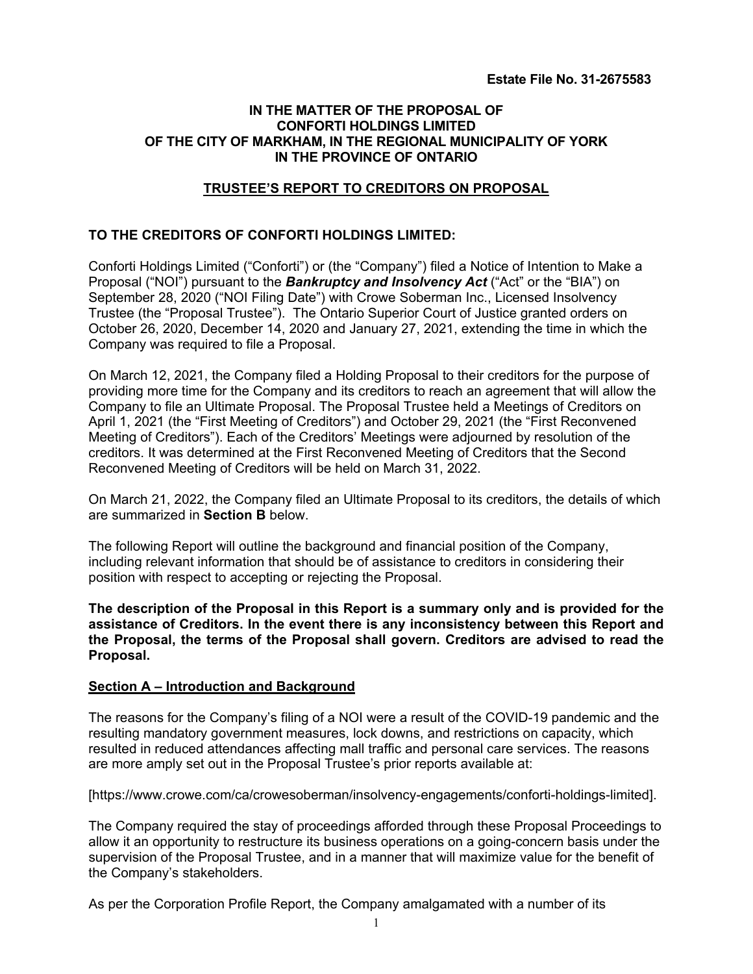# **IN THE MATTER OF THE PROPOSAL OF CONFORTI HOLDINGS LIMITED OF THE CITY OF MARKHAM, IN THE REGIONAL MUNICIPALITY OF YORK IN THE PROVINCE OF ONTARIO**

# **TRUSTEE'S REPORT TO CREDITORS ON PROPOSAL**

# **TO THE CREDITORS OF CONFORTI HOLDINGS LIMITED:**

Conforti Holdings Limited ("Conforti") or (the "Company") filed a Notice of Intention to Make a Proposal ("NOI") pursuant to the *Bankruptcy and Insolvency Act* ("Act" or the "BIA") on September 28, 2020 ("NOI Filing Date") with Crowe Soberman Inc., Licensed Insolvency Trustee (the "Proposal Trustee"). The Ontario Superior Court of Justice granted orders on October 26, 2020, December 14, 2020 and January 27, 2021, extending the time in which the Company was required to file a Proposal.

On March 12, 2021, the Company filed a Holding Proposal to their creditors for the purpose of providing more time for the Company and its creditors to reach an agreement that will allow the Company to file an Ultimate Proposal. The Proposal Trustee held a Meetings of Creditors on April 1, 2021 (the "First Meeting of Creditors") and October 29, 2021 (the "First Reconvened Meeting of Creditors"). Each of the Creditors' Meetings were adjourned by resolution of the creditors. It was determined at the First Reconvened Meeting of Creditors that the Second Reconvened Meeting of Creditors will be held on March 31, 2022.

On March 21, 2022, the Company filed an Ultimate Proposal to its creditors, the details of which are summarized in **Section B** below.

The following Report will outline the background and financial position of the Company, including relevant information that should be of assistance to creditors in considering their position with respect to accepting or rejecting the Proposal.

**The description of the Proposal in this Report is a summary only and is provided for the assistance of Creditors. In the event there is any inconsistency between this Report and the Proposal, the terms of the Proposal shall govern. Creditors are advised to read the Proposal.**

## **Section A – Introduction and Background**

The reasons for the Company's filing of a NOI were a result of the COVID-19 pandemic and the resulting mandatory government measures, lock downs, and restrictions on capacity, which resulted in reduced attendances affecting mall traffic and personal care services. The reasons are more amply set out in the Proposal Trustee's prior reports available at:

[\[https://www.crowe.com/ca/crowesoberman/insolvency-engagements/conforti-holdings-limited\]](https://www.crowe.com/ca/crowesoberman/insolvency-engagements/conforti-holdings-limited).

The Company required the stay of proceedings afforded through these Proposal Proceedings to allow it an opportunity to restructure its business operations on a going-concern basis under the supervision of the Proposal Trustee, and in a manner that will maximize value for the benefit of the Company's stakeholders.

As per the Corporation Profile Report, the Company amalgamated with a number of its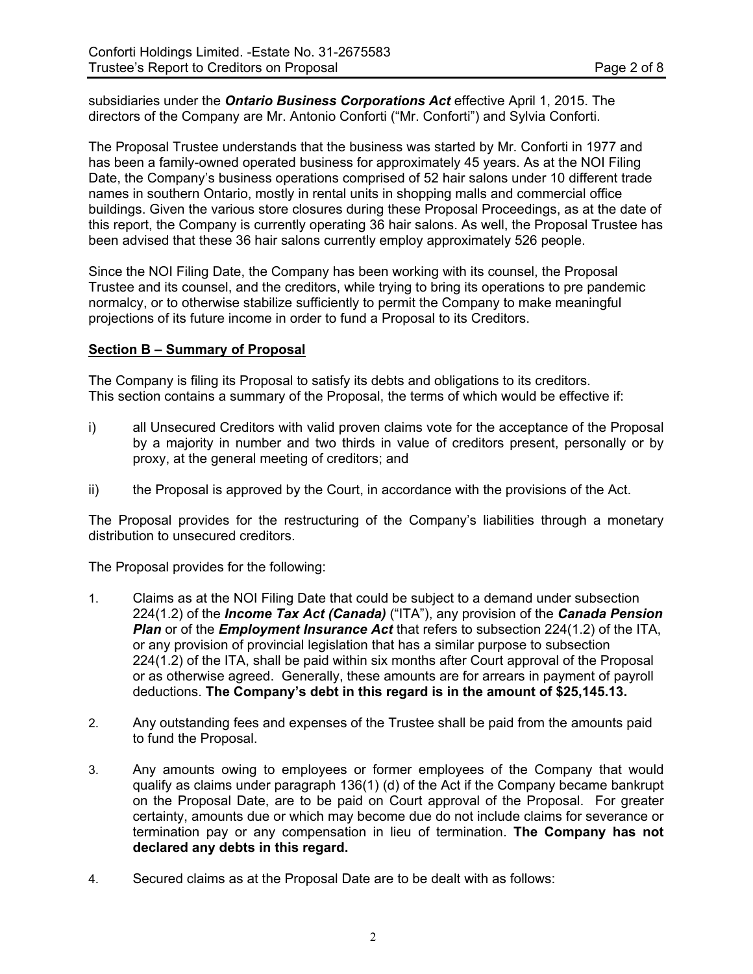subsidiaries under the *Ontario Business Corporations Act* effective April 1, 2015. The directors of the Company are Mr. Antonio Conforti ("Mr. Conforti") and Sylvia Conforti.

The Proposal Trustee understands that the business was started by Mr. Conforti in 1977 and has been a family-owned operated business for approximately 45 years. As at the NOI Filing Date, the Company's business operations comprised of 52 hair salons under 10 different trade names in southern Ontario, mostly in rental units in shopping malls and commercial office buildings. Given the various store closures during these Proposal Proceedings, as at the date of this report, the Company is currently operating 36 hair salons. As well, the Proposal Trustee has been advised that these 36 hair salons currently employ approximately 526 people.

Since the NOI Filing Date, the Company has been working with its counsel, the Proposal Trustee and its counsel, and the creditors, while trying to bring its operations to pre pandemic normalcy, or to otherwise stabilize sufficiently to permit the Company to make meaningful projections of its future income in order to fund a Proposal to its Creditors.

## **Section B – Summary of Proposal**

The Company is filing its Proposal to satisfy its debts and obligations to its creditors. This section contains a summary of the Proposal, the terms of which would be effective if:

- i) all Unsecured Creditors with valid proven claims vote for the acceptance of the Proposal by a majority in number and two thirds in value of creditors present, personally or by proxy, at the general meeting of creditors; and
- ii) the Proposal is approved by the Court, in accordance with the provisions of the Act.

The Proposal provides for the restructuring of the Company's liabilities through a monetary distribution to unsecured creditors.

The Proposal provides for the following:

- 1. Claims as at the NOI Filing Date that could be subject to a demand under subsection 224(1.2) of the *Income Tax Act (Canada)* ("ITA"), any provision of the *Canada Pension Plan* or of the *Employment Insurance Act* that refers to subsection 224(1.2) of the ITA, or any provision of provincial legislation that has a similar purpose to subsection 224(1.2) of the ITA, shall be paid within six months after Court approval of the Proposal or as otherwise agreed. Generally, these amounts are for arrears in payment of payroll deductions. **The Company's debt in this regard is in the amount of \$25,145.13.**
- 2. Any outstanding fees and expenses of the Trustee shall be paid from the amounts paid to fund the Proposal.
- 3. Any amounts owing to employees or former employees of the Company that would qualify as claims under paragraph 136(1) (d) of the Act if the Company became bankrupt on the Proposal Date, are to be paid on Court approval of the Proposal. For greater certainty, amounts due or which may become due do not include claims for severance or termination pay or any compensation in lieu of termination. **The Company has not declared any debts in this regard.**
- 4. Secured claims as at the Proposal Date are to be dealt with as follows: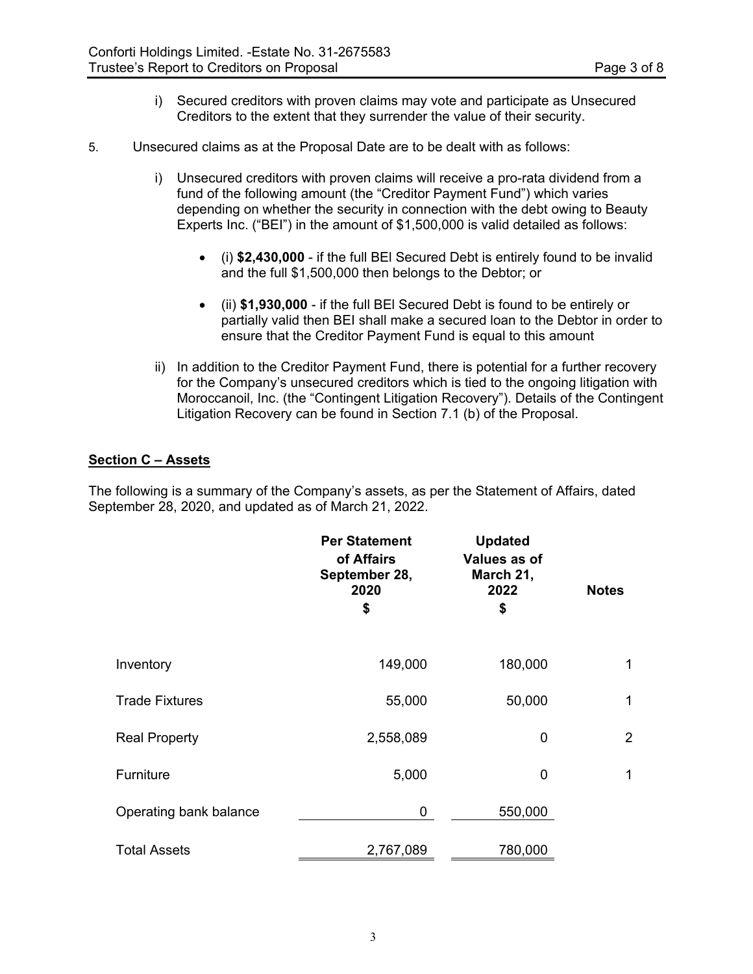- i) Secured creditors with proven claims may vote and participate as Unsecured Creditors to the extent that they surrender the value of their security.
- 5. Unsecured claims as at the Proposal Date are to be dealt with as follows:
	- i) Unsecured creditors with proven claims will receive a pro-rata dividend from a fund of the following amount (the "Creditor Payment Fund") which varies depending on whether the security in connection with the debt owing to Beauty Experts Inc. ("BEI") in the amount of \$1,500,000 is valid detailed as follows:
		- (i) **\$2,430,000** if the full BEl Secured Debt is entirely found to be invalid and the full \$1,500,000 then belongs to the Debtor; or
		- (ii) **\$1,930,000** if the full BEl Secured Debt is found to be entirely or partially valid then BEI shall make a secured loan to the Debtor in order to ensure that the Creditor Payment Fund is equal to this amount
	- ii) In addition to the Creditor Payment Fund, there is potential for a further recovery for the Company's unsecured creditors which is tied to the ongoing litigation with Moroccanoil, Inc. (the "Contingent Litigation Recovery"). Details of the Contingent Litigation Recovery can be found in Section 7.1 (b) of the Proposal.

# **Section C – Assets**

The following is a summary of the Company's assets, as per the Statement of Affairs, dated September 28, 2020, and updated as of March 21, 2022.

|                        | <b>Per Statement</b><br>of Affairs<br>September 28,<br>2020<br>\$ | <b>Updated</b><br>Values as of<br>March 21,<br>2022<br>\$ | <b>Notes</b>   |
|------------------------|-------------------------------------------------------------------|-----------------------------------------------------------|----------------|
| Inventory              | 149,000                                                           | 180,000                                                   | 1              |
| <b>Trade Fixtures</b>  | 55,000                                                            | 50,000                                                    | 1              |
| <b>Real Property</b>   | 2,558,089                                                         | 0                                                         | $\overline{2}$ |
| Furniture              | 5,000                                                             | 0                                                         | $\mathbf 1$    |
| Operating bank balance | 0                                                                 | 550,000                                                   |                |
| <b>Total Assets</b>    | 2,767,089                                                         | 780,000                                                   |                |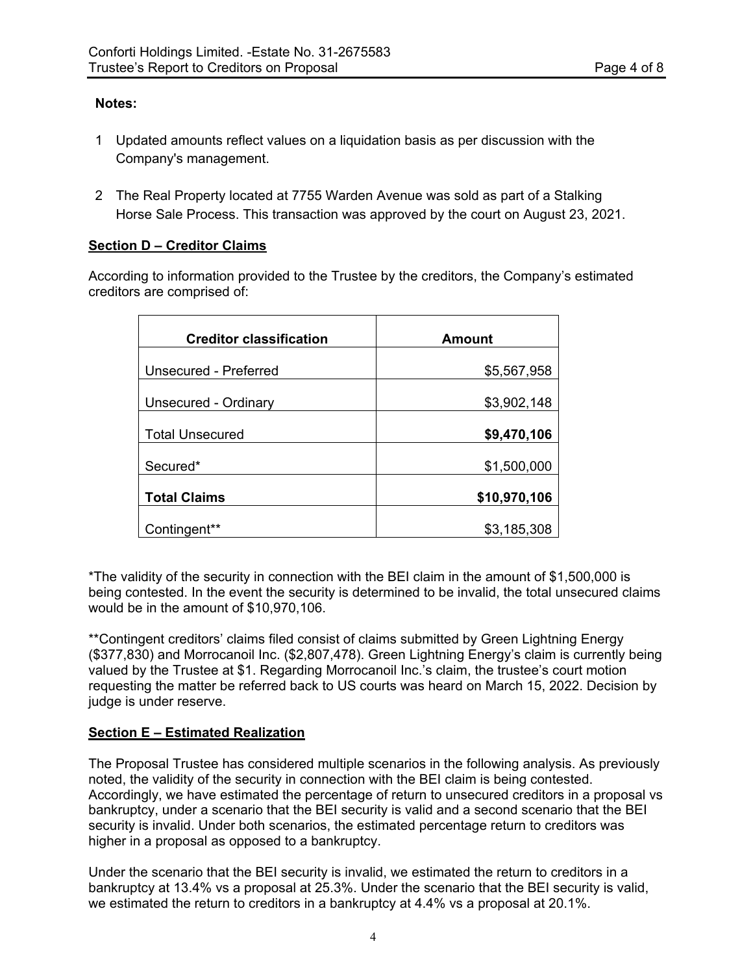# **Notes:**

- 1 Updated amounts reflect values on a liquidation basis as per discussion with the Company's management.
- 2 The Real Property located at 7755 Warden Avenue was sold as part of a Stalking Horse Sale Process. This transaction was approved by the court on August 23, 2021.

# **Section D – Creditor Claims**

According to information provided to the Trustee by the creditors, the Company's estimated creditors are comprised of:

| <b>Creditor classification</b> | Amount       |
|--------------------------------|--------------|
| <b>Unsecured - Preferred</b>   | \$5,567,958  |
| Unsecured - Ordinary           | \$3,902,148  |
| <b>Total Unsecured</b>         | \$9,470,106  |
| Secured*                       | \$1,500,000  |
| <b>Total Claims</b>            | \$10,970,106 |
| Contingent**                   | \$3,185,308  |

\*The validity of the security in connection with the BEI claim in the amount of \$1,500,000 is being contested. In the event the security is determined to be invalid, the total unsecured claims would be in the amount of \$10,970,106.

\*\*Contingent creditors' claims filed consist of claims submitted by Green Lightning Energy (\$377,830) and Morrocanoil Inc. (\$2,807,478). Green Lightning Energy's claim is currently being valued by the Trustee at \$1. Regarding Morrocanoil Inc.'s claim, the trustee's court motion requesting the matter be referred back to US courts was heard on March 15, 2022. Decision by judge is under reserve.

# **Section E – Estimated Realization**

The Proposal Trustee has considered multiple scenarios in the following analysis. As previously noted, the validity of the security in connection with the BEI claim is being contested. Accordingly, we have estimated the percentage of return to unsecured creditors in a proposal vs bankruptcy, under a scenario that the BEI security is valid and a second scenario that the BEI security is invalid. Under both scenarios, the estimated percentage return to creditors was higher in a proposal as opposed to a bankruptcy.

Under the scenario that the BEI security is invalid, we estimated the return to creditors in a bankruptcy at 13.4% vs a proposal at 25.3%. Under the scenario that the BEI security is valid, we estimated the return to creditors in a bankruptcy at 4.4% vs a proposal at 20.1%.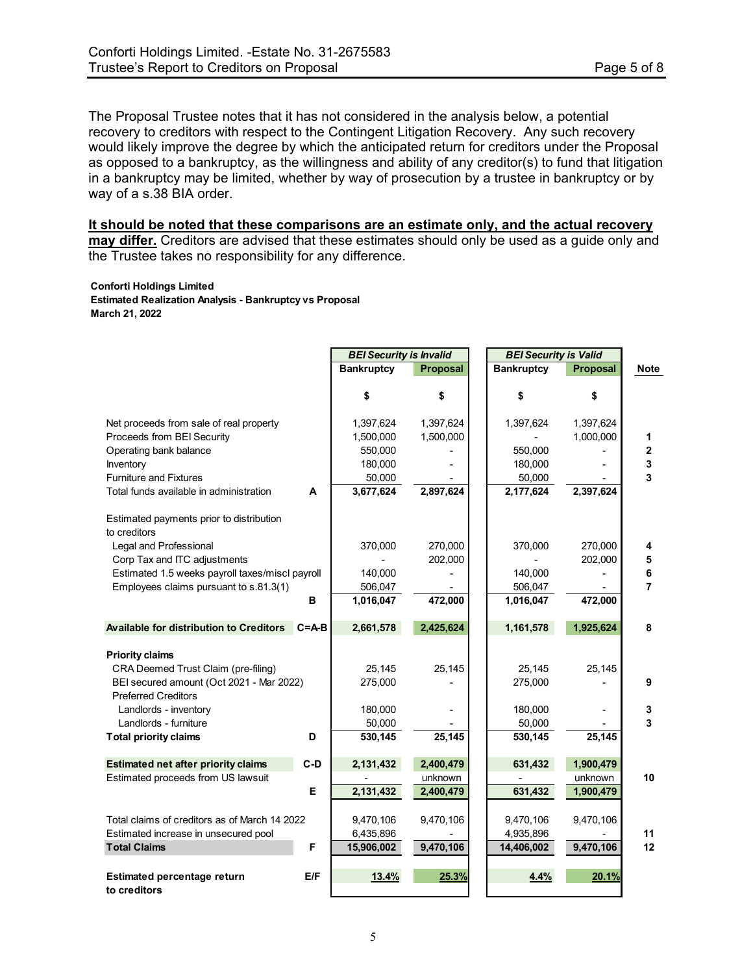The Proposal Trustee notes that it has not considered in the analysis below, a potential recovery to creditors with respect to the Contingent Litigation Recovery. Any such recovery would likely improve the degree by which the anticipated return for creditors under the Proposal as opposed to a bankruptcy, as the willingness and ability of any creditor(s) to fund that litigation in a bankruptcy may be limited, whether by way of prosecution by a trustee in bankruptcy or by way of a s.38 BIA order.

## **It should be noted that these comparisons are an estimate only, and the actual recovery may differ.** Creditors are advised that these estimates should only be used as a guide only and the Trustee takes no responsibility for any difference.

#### **Conforti Holdings Limited**

**Estimated Realization Analysis - Bankruptcy vs Proposal March 21, 2022**

|                                                 |           | <b>BEI Security is Invalid</b> |                 | <b>BEI Security is Valid</b> |                 |                |
|-------------------------------------------------|-----------|--------------------------------|-----------------|------------------------------|-----------------|----------------|
|                                                 |           | <b>Bankruptcy</b>              | <b>Proposal</b> | <b>Bankruptcy</b>            | <b>Proposal</b> | <b>Note</b>    |
|                                                 |           |                                |                 |                              |                 |                |
|                                                 |           | \$                             | \$              | \$                           | \$              |                |
|                                                 |           |                                |                 |                              |                 |                |
| Net proceeds from sale of real property         |           | 1,397,624                      | 1,397,624       | 1,397,624                    | 1,397,624       |                |
| Proceeds from BEI Security                      |           | 1,500,000                      | 1,500,000       |                              | 1,000,000       | 1              |
| Operating bank balance                          |           | 550,000                        |                 | 550,000                      |                 | $\mathbf 2$    |
| Inventory                                       |           | 180,000                        |                 | 180,000                      |                 | 3              |
| <b>Furniture and Fixtures</b>                   |           | 50,000                         |                 | 50,000                       |                 | 3              |
| Total funds available in administration         | A         | 3,677,624                      | 2,897,624       | 2,177,624                    | 2,397,624       |                |
| Estimated payments prior to distribution        |           |                                |                 |                              |                 |                |
| to creditors                                    |           |                                |                 |                              |                 |                |
| Legal and Professional                          |           | 370,000                        | 270,000         | 370,000                      | 270,000         | 4              |
| Corp Tax and ITC adjustments                    |           |                                | 202,000         |                              | 202,000         | 5              |
| Estimated 1.5 weeks payroll taxes/miscl payroll |           | 140,000                        |                 | 140,000                      |                 | 6              |
| Employees claims pursuant to s.81.3(1)          |           | 506,047                        |                 | 506,047                      |                 | $\overline{7}$ |
|                                                 | в         | 1,016,047                      | 472,000         | 1,016,047                    | 472,000         |                |
|                                                 |           |                                |                 |                              |                 |                |
| Available for distribution to Creditors         | $C = A-B$ | 2,661,578                      | 2,425,624       | 1,161,578                    | 1,925,624       | 8              |
| <b>Priority claims</b>                          |           |                                |                 |                              |                 |                |
| CRA Deemed Trust Claim (pre-filing)             |           | 25,145                         | 25,145          | 25,145                       | 25,145          |                |
| BEI secured amount (Oct 2021 - Mar 2022)        |           | 275,000                        |                 | 275,000                      |                 | 9              |
| <b>Preferred Creditors</b>                      |           |                                |                 |                              |                 |                |
| Landlords - inventory                           |           | 180,000                        |                 | 180,000                      |                 | 3              |
| Landlords - furniture                           |           |                                |                 |                              |                 | 3              |
|                                                 | D         | 50,000<br>530,145              | 25,145          | 50,000<br>530,145            |                 |                |
| <b>Total priority claims</b>                    |           |                                |                 |                              | 25,145          |                |
| <b>Estimated net after priority claims</b>      | $C-D$     | 2,131,432                      | 2,400,479       | 631,432                      | 1,900,479       |                |
| Estimated proceeds from US lawsuit              |           |                                | unknown         |                              | unknown         | 10             |
|                                                 | Е         | 2,131,432                      | 2,400,479       | 631,432                      | 1,900,479       |                |
| Total claims of creditors as of March 14 2022   |           |                                |                 |                              |                 |                |
|                                                 |           | 9,470,106                      | 9,470,106       | 9,470,106                    | 9,470,106       |                |
| Estimated increase in unsecured pool            |           | 6,435,896                      |                 | 4,935,896                    |                 | 11             |
| <b>Total Claims</b>                             | F         | 15,906,002                     | 9,470,106       | 14,406,002                   | 9,470,106       | 12             |
| Estimated percentage return                     | E/F       | 13.4%                          | 25.3%           | 4.4%                         | 20.1%           |                |
| to creditors                                    |           |                                |                 |                              |                 |                |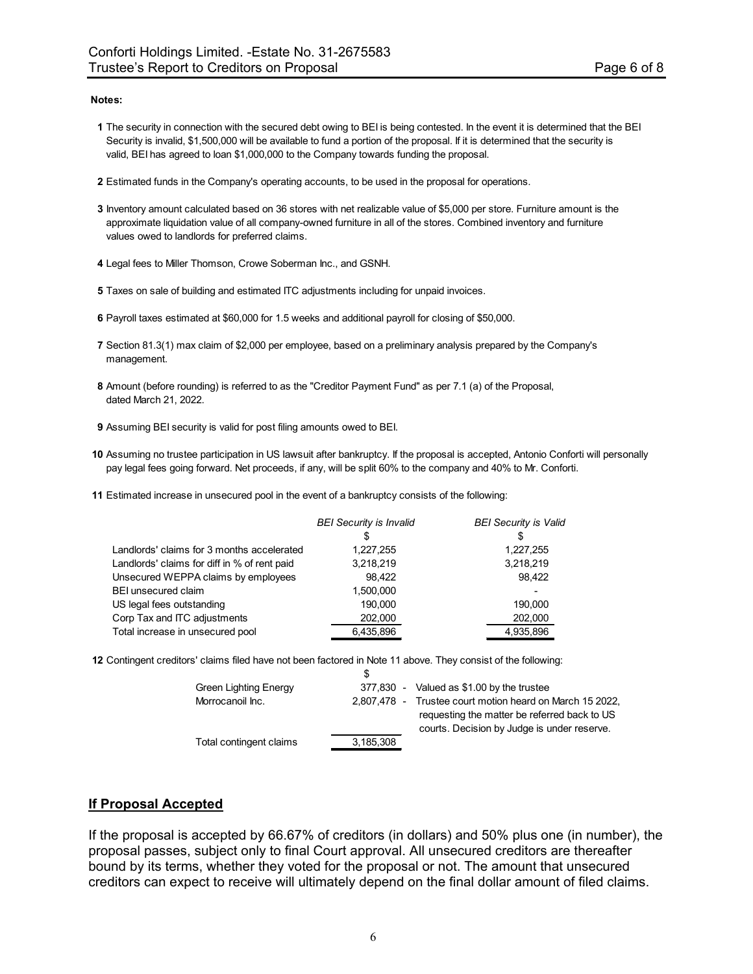#### **Notes:**

- **1** The security in connection with the secured debt owing to BEI is being contested. In the event it is determined that the BEI Security is invalid, \$1,500,000 will be available to fund a portion of the proposal. If it is determined that the security is valid, BEI has agreed to loan \$1,000,000 to the Company towards funding the proposal.
- **2** Estimated funds in the Company's operating accounts, to be used in the proposal for operations.
- **3** Inventory amount calculated based on 36 stores with net realizable value of \$5,000 per store. Furniture amount is the approximate liquidation value of all company-owned furniture in all of the stores. Combined inventory and furniture values owed to landlords for preferred claims.
- **4** Legal fees to Miller Thomson, Crowe Soberman Inc., and GSNH.
- **5** Taxes on sale of building and estimated ITC adjustments including for unpaid invoices.
- **6** Payroll taxes estimated at \$60,000 for 1.5 weeks and additional payroll for closing of \$50,000.
- **7** Section 81.3(1) max claim of \$2,000 per employee, based on a preliminary analysis prepared by the Company's management.
- **8** Amount (before rounding) is referred to as the "Creditor Payment Fund" as per 7.1 (a) of the Proposal, dated March 21, 2022.
- **9** Assuming BEI security is valid for post filing amounts owed to BEI.
- **10** Assuming no trustee participation in US lawsuit after bankruptcy. If the proposal is accepted, Antonio Conforti will personally pay legal fees going forward. Net proceeds, if any, will be split 60% to the company and 40% to Mr. Conforti.
- **11** Estimated increase in unsecured pool in the event of a bankruptcy consists of the following:

|                                              | <b>BEI Security is Invalid</b> | <b>BEI Security is Valid</b> |
|----------------------------------------------|--------------------------------|------------------------------|
|                                              | S                              | S                            |
| Landlords' claims for 3 months accelerated   | 1,227,255                      | 1,227,255                    |
| Landlords' claims for diff in % of rent paid | 3,218,219                      | 3,218,219                    |
| Unsecured WEPPA claims by employees          | 98.422                         | 98.422                       |
| <b>BEI unsecured claim</b>                   | 1,500,000                      |                              |
| US legal fees outstanding                    | 190.000                        | 190.000                      |
| Corp Tax and ITC adjustments                 | 202,000                        | 202,000                      |
| Total increase in unsecured pool             | 6,435,896                      | 4,935,896                    |

**12** Contingent creditors' claims filed have not been factored in Note 11 above. They consist of the following:

| <b>Green Lighting Energy</b> |           | 377,830 - Valued as \$1.00 by the trustee                                                                                                               |
|------------------------------|-----------|---------------------------------------------------------------------------------------------------------------------------------------------------------|
| Morrocanoil Inc.             |           | 2,807,478 - Trustee court motion heard on March 15 2022,<br>requesting the matter be referred back to US<br>courts. Decision by Judge is under reserve. |
| Total contingent claims      | 3,185,308 |                                                                                                                                                         |

## **If Proposal Accepted**

If the proposal is accepted by 66.67% of creditors (in dollars) and 50% plus one (in number), the proposal passes, subject only to final Court approval. All unsecured creditors are thereafter bound by its terms, whether they voted for the proposal or not. The amount that unsecured creditors can expect to receive will ultimately depend on the final dollar amount of filed claims.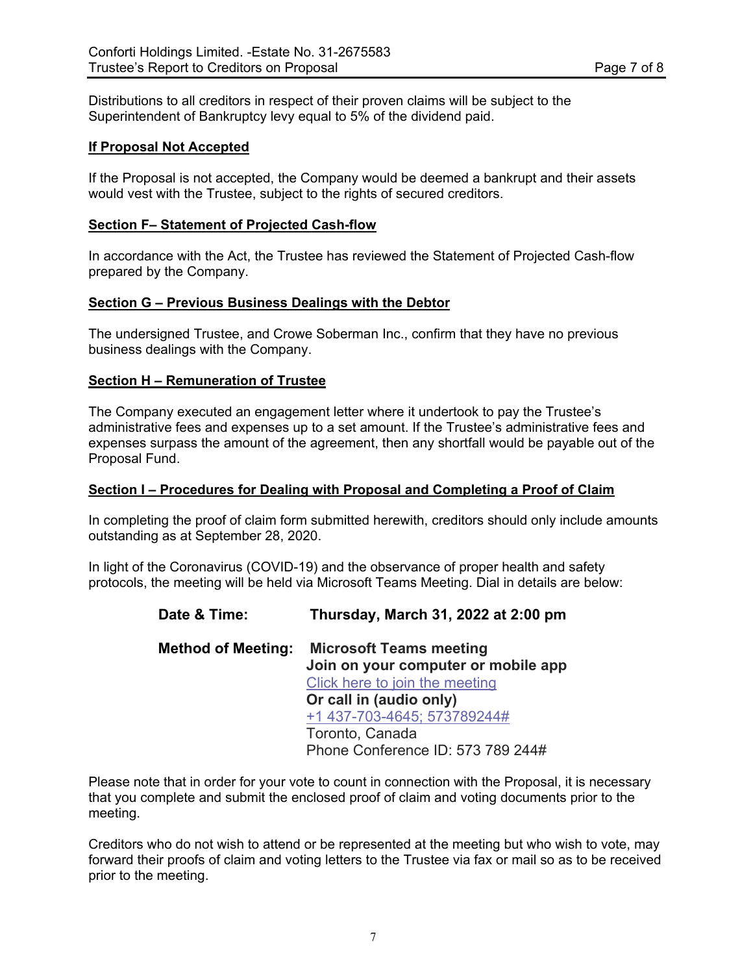Distributions to all creditors in respect of their proven claims will be subject to the Superintendent of Bankruptcy levy equal to 5% of the dividend paid.

# **If Proposal Not Accepted**

If the Proposal is not accepted, the Company would be deemed a bankrupt and their assets would vest with the Trustee, subject to the rights of secured creditors.

## **Section F– Statement of Projected Cash-flow**

In accordance with the Act, the Trustee has reviewed the Statement of Projected Cash-flow prepared by the Company.

## **Section G – Previous Business Dealings with the Debtor**

The undersigned Trustee, and Crowe Soberman Inc., confirm that they have no previous business dealings with the Company.

## **Section H – Remuneration of Trustee**

The Company executed an engagement letter where it undertook to pay the Trustee's administrative fees and expenses up to a set amount. If the Trustee's administrative fees and expenses surpass the amount of the agreement, then any shortfall would be payable out of the Proposal Fund.

## **Section I – Procedures for Dealing with Proposal and Completing a Proof of Claim**

In completing the proof of claim form submitted herewith, creditors should only include amounts outstanding as at September 28, 2020.

In light of the Coronavirus (COVID-19) and the observance of proper health and safety protocols, the meeting will be held via Microsoft Teams Meeting. Dial in details are below:

| Date & Time:              | Thursday, March 31, 2022 at 2:00 pm |
|---------------------------|-------------------------------------|
| <b>Method of Meeting:</b> | <b>Microsoft Teams meeting</b>      |
|                           | Join on your computer or mobile app |
|                           | Click here to join the meeting      |
|                           | Or call in (audio only)             |
|                           | +1 437-703-4645; 573789244#         |
|                           | Toronto, Canada                     |
|                           | Phone Conference ID: 573 789 244#   |
|                           |                                     |

Please note that in order for your vote to count in connection with the Proposal, it is necessary that you complete and submit the enclosed proof of claim and voting documents prior to the meeting.

Creditors who do not wish to attend or be represented at the meeting but who wish to vote, may forward their proofs of claim and voting letters to the Trustee via fax or mail so as to be received prior to the meeting.